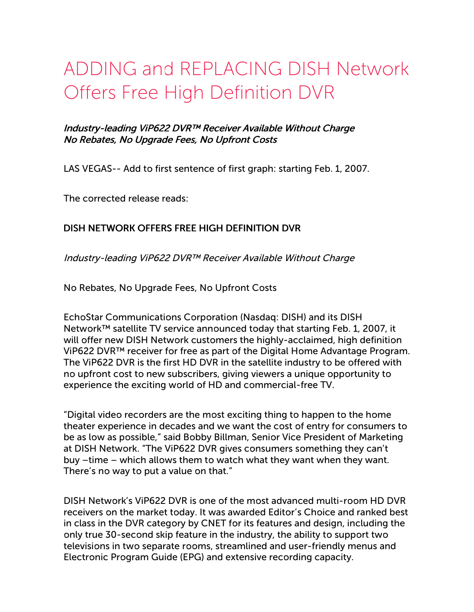# ADDING and REPLACING DISH Network Offers Free High Definition DVR

### Industry-leading ViP622 DVR™ Receiver Available Without Charge No Rebates, No Upgrade Fees, No Upfront Costs

LAS VEGAS-- Add to first sentence of first graph: starting Feb. 1, 2007.

The corrected release reads:

#### DISH NETWORK OFFERS FREE HIGH DEFINITION DVR

Industry-leading ViP622 DVR™ Receiver Available Without Charge

No Rebates, No Upgrade Fees, No Upfront Costs

EchoStar Communications Corporation (Nasdaq: DISH) and its DISH Network™ satellite TV service announced today that starting Feb. 1, 2007, it will offer new DISH Network customers the highly-acclaimed, high definition ViP622 DVR™ receiver for free as part of the Digital Home Advantage Program. The ViP622 DVR is the first HD DVR in the satellite industry to be offered with no upfront cost to new subscribers, giving viewers a unique opportunity to experience the exciting world of HD and commercial-free TV.

"Digital video recorders are the most exciting thing to happen to the home theater experience in decades and we want the cost of entry for consumers to be as low as possible," said Bobby Billman, Senior Vice President of Marketing at DISH Network. "The ViP622 DVR gives consumers something they can't buy –time – which allows them to watch what they want when they want. There's no way to put a value on that."

DISH Network's ViP622 DVR is one of the most advanced multi-room HD DVR receivers on the market today. It was awarded Editor's Choice and ranked best in class in the DVR category by CNET for its features and design, including the only true 30-second skip feature in the industry, the ability to support two televisions in two separate rooms, streamlined and user-friendly menus and Electronic Program Guide (EPG) and extensive recording capacity.